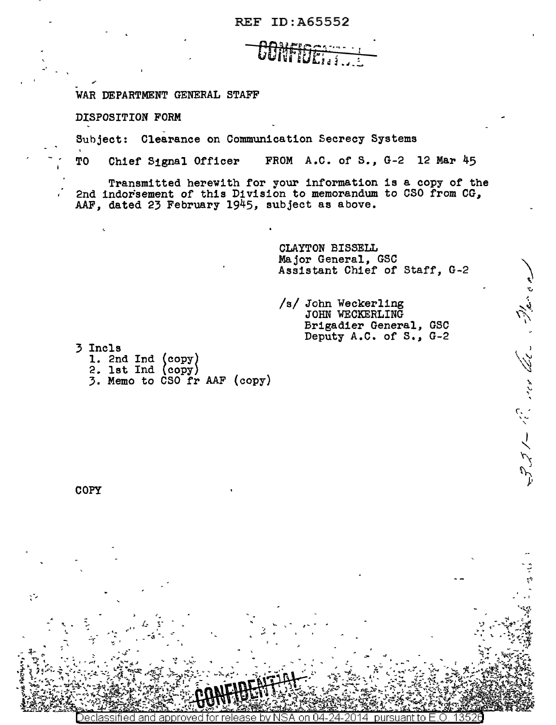REF ID:A65552

## CONFIDER

WAR DEPARTMENT GENERAL STAFF

DISPOSITION FORM

~-

-·

Subject: Clearance on Communication Secrecy Systems

TO Chief S1gnal Officer FROM A.C. of *S.,* G-2 12 Mar 45

Transmitted herewith for your information is a copy of the 2nd indorsement of this Division to memorandum to CSO from CG, AAF, dated 23 February 1945, subject as above.

> -,  $\frac{1}{2}$

CLAYTON BISSELL Major General, GSC Assistant Chief of Staff, G-2

,

 $\sum_{\alpha,\beta,\gamma,\gamma}$ 

("' , \ " '

 $\ddot{\phantom{0}}$ -·

- • I

/s/ John Weckerling JOHN 'WECKERLING Brigadier General, GSC Deputy A.C. of s., G-2

3 Incls 1. 2nd Ind  $\begin{pmatrix} copy \\ 2. \end{pmatrix}$ 

> , i.~... ....  $\mathbb{E} \left[ \begin{array}{ccc} \mathbb{E} & \mathbb{E} & \mathbb{E} \ \mathbb{E} & \mathbb{E} & \mathbb{E} \end{array} \right]$

.. *.. t ..* -

3. Memo to  $\text{CSO}\text{ } \mathbf{r}$  AAF (copy)

COPY

'•

*--r* f

 $\ddot{\mathcal{L}}$ .

 $\mathcal{C}$